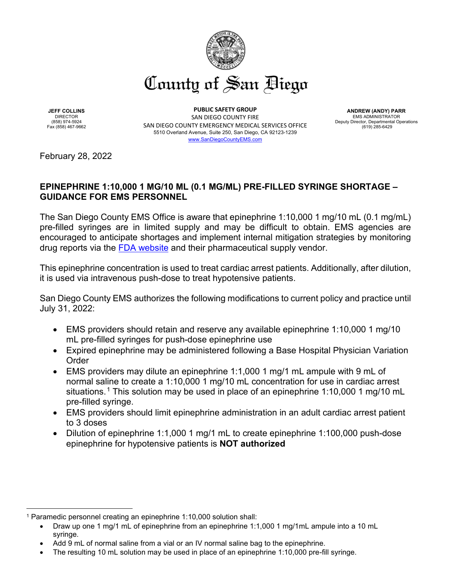

**JEFF COLLINS** DIRECTOR (858) 974-5924 Fax (858) 467-9662

**PUBLIC SAFETY GROUP** SAN DIEGO COUNTY FIRE SAN DIEGO COUNTY EMERGENCY MEDICAL SERVICES OFFICE 5510 Overland Avenue, Suite 250, San Diego, CA 92123-1239 [www.SanDiegoCountyEMS.com](http://www.sandiegocountyems.com/)

**ANDREW (ANDY) PARR** EMS ADMINISTRATOR Deputy Director, Departmental Operations (619) 285-6429

February 28, 2022

## **EPINEPHRINE 1:10,000 1 MG/10 ML (0.1 MG/ML) PRE-FILLED SYRINGE SHORTAGE – GUIDANCE FOR EMS PERSONNEL**

The San Diego County EMS Office is aware that epinephrine 1:10,000 1 mg/10 mL (0.1 mg/mL) pre-filled syringes are in limited supply and may be difficult to obtain. EMS agencies are encouraged to anticipate shortages and implement internal mitigation strategies by monitoring drug reports via the [FDA website](https://www.accessdata.fda.gov/scripts/drugshortages/default.cfm) and their pharmaceutical supply vendor.

This epinephrine concentration is used to treat cardiac arrest patients. Additionally, after dilution, it is used via intravenous push-dose to treat hypotensive patients.

San Diego County EMS authorizes the following modifications to current policy and practice until July 31, 2022:

- EMS providers should retain and reserve any available epinephrine 1:10,000 1 mg/10 mL pre-filled syringes for push-dose epinephrine use
- Expired epinephrine may be administered following a Base Hospital Physician Variation Order
- EMS providers may dilute an epinephrine 1:1,000 1 mg/1 mL ampule with 9 mL of normal saline to create a 1:10,000 1 mg/10 mL concentration for use in cardiac arrest situations.<sup>[1](#page-0-0)</sup> This solution may be used in place of an epinephrine 1:10,000 1 mg/10 mL pre-filled syringe.
- EMS providers should limit epinephrine administration in an adult cardiac arrest patient to 3 doses
- Dilution of epinephrine 1:1,000 1 mg/1 mL to create epinephrine 1:100,000 push-dose epinephrine for hypotensive patients is **NOT authorized**

<span id="page-0-0"></span><sup>1</sup> Paramedic personnel creating an epinephrine 1:10,000 solution shall:

<sup>•</sup> Draw up one 1 mg/1 mL of epinephrine from an epinephrine 1:1,000 1 mg/1mL ampule into a 10 mL syringe.

Add 9 mL of normal saline from a vial or an IV normal saline bag to the epinephrine.

<sup>•</sup> The resulting 10 mL solution may be used in place of an epinephrine 1:10,000 pre-fill syringe.